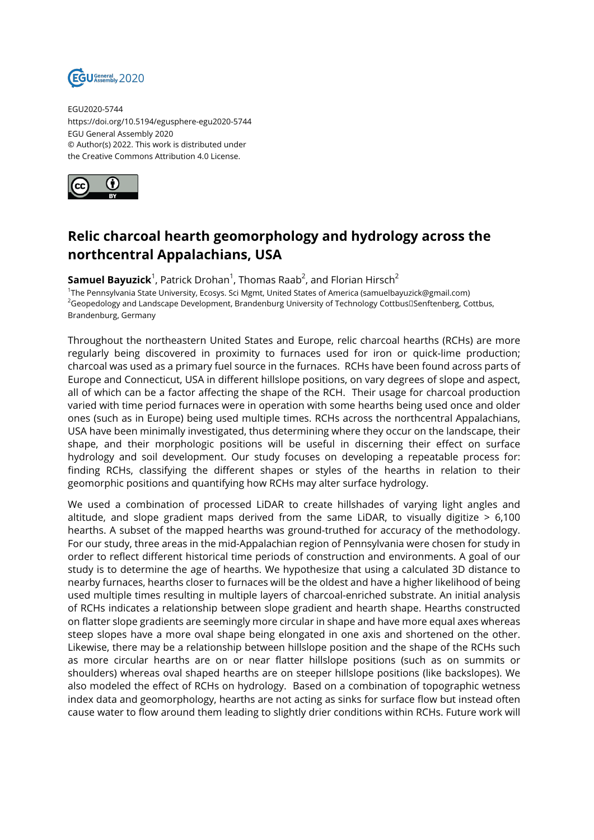

EGU2020-5744 https://doi.org/10.5194/egusphere-egu2020-5744 EGU General Assembly 2020 © Author(s) 2022. This work is distributed under the Creative Commons Attribution 4.0 License.



## **Relic charcoal hearth geomorphology and hydrology across the northcentral Appalachians, USA**

 ${\sf Samuel\; Bayuzick}^1$ , Patrick Drohan $^1$ , Thomas Raab $^2$ , and Florian Hirsch $^2$ 

1 The Pennsylvania State University, Ecosys. Sci Mgmt, United States of America (samuelbayuzick@gmail.com) <sup>2</sup>Geopedology and Landscape Development, Brandenburg University of Technology Cottbus[JSenftenberg, Cottbus, Brandenburg, Germany

Throughout the northeastern United States and Europe, relic charcoal hearths (RCHs) are more regularly being discovered in proximity to furnaces used for iron or quick-lime production; charcoal was used as a primary fuel source in the furnaces. RCHs have been found across parts of Europe and Connecticut, USA in different hillslope positions, on vary degrees of slope and aspect, all of which can be a factor affecting the shape of the RCH. Their usage for charcoal production varied with time period furnaces were in operation with some hearths being used once and older ones (such as in Europe) being used multiple times. RCHs across the northcentral Appalachians, USA have been minimally investigated, thus determining where they occur on the landscape, their shape, and their morphologic positions will be useful in discerning their effect on surface hydrology and soil development. Our study focuses on developing a repeatable process for: finding RCHs, classifying the different shapes or styles of the hearths in relation to their geomorphic positions and quantifying how RCHs may alter surface hydrology.

We used a combination of processed LiDAR to create hillshades of varying light angles and altitude, and slope gradient maps derived from the same LiDAR, to visually digitize  $> 6,100$ hearths. A subset of the mapped hearths was ground-truthed for accuracy of the methodology. For our study, three areas in the mid-Appalachian region of Pennsylvania were chosen for study in order to reflect different historical time periods of construction and environments. A goal of our study is to determine the age of hearths. We hypothesize that using a calculated 3D distance to nearby furnaces, hearths closer to furnaces will be the oldest and have a higher likelihood of being used multiple times resulting in multiple layers of charcoal-enriched substrate. An initial analysis of RCHs indicates a relationship between slope gradient and hearth shape. Hearths constructed on flatter slope gradients are seemingly more circular in shape and have more equal axes whereas steep slopes have a more oval shape being elongated in one axis and shortened on the other. Likewise, there may be a relationship between hillslope position and the shape of the RCHs such as more circular hearths are on or near flatter hillslope positions (such as on summits or shoulders) whereas oval shaped hearths are on steeper hillslope positions (like backslopes). We also modeled the effect of RCHs on hydrology. Based on a combination of topographic wetness index data and geomorphology, hearths are not acting as sinks for surface flow but instead often cause water to flow around them leading to slightly drier conditions within RCHs. Future work will